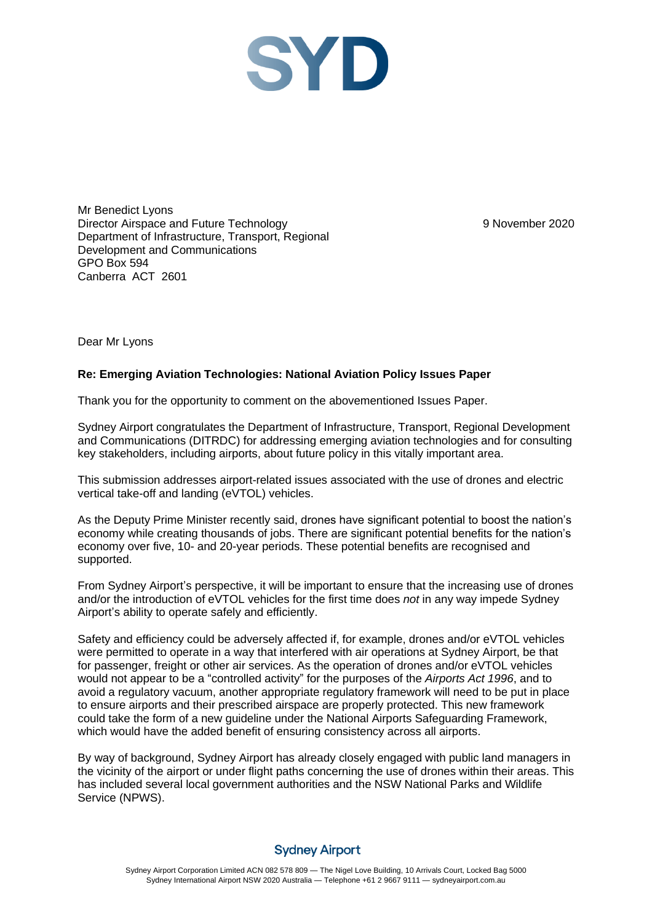

Mr Benedict Lyons Director Airspace and Future Technology Department of Infrastructure, Transport, Regional Development and Communications GPO Box 594 Canberra ACT 2601

9 November 2020

Dear Mr Lyons

## **Re: Emerging Aviation Technologies: National Aviation Policy Issues Paper**

Thank you for the opportunity to comment on the abovementioned Issues Paper.

Sydney Airport congratulates the Department of Infrastructure, Transport, Regional Development and Communications (DITRDC) for addressing emerging aviation technologies and for consulting key stakeholders, including airports, about future policy in this vitally important area.

This submission addresses airport-related issues associated with the use of drones and electric vertical take-off and landing (eVTOL) vehicles.

As the Deputy Prime Minister recently said, drones have significant potential to boost the nation's economy while creating thousands of jobs. There are significant potential benefits for the nation's economy over five, 10- and 20-year periods. These potential benefits are recognised and supported.

From Sydney Airport's perspective, it will be important to ensure that the increasing use of drones and/or the introduction of eVTOL vehicles for the first time does *not* in any way impede Sydney Airport's ability to operate safely and efficiently.

Safety and efficiency could be adversely affected if, for example, drones and/or eVTOL vehicles were permitted to operate in a way that interfered with air operations at Sydney Airport, be that for passenger, freight or other air services. As the operation of drones and/or eVTOL vehicles would not appear to be a "controlled activity" for the purposes of the *Airports Act 1996*, and to avoid a regulatory vacuum, another appropriate regulatory framework will need to be put in place to ensure airports and their prescribed airspace are properly protected. This new framework could take the form of a new guideline under the National Airports Safeguarding Framework, which would have the added benefit of ensuring consistency across all airports.

By way of background, Sydney Airport has already closely engaged with public land managers in the vicinity of the airport or under flight paths concerning the use of drones within their areas. This has included several local government authorities and the NSW National Parks and Wildlife Service (NPWS).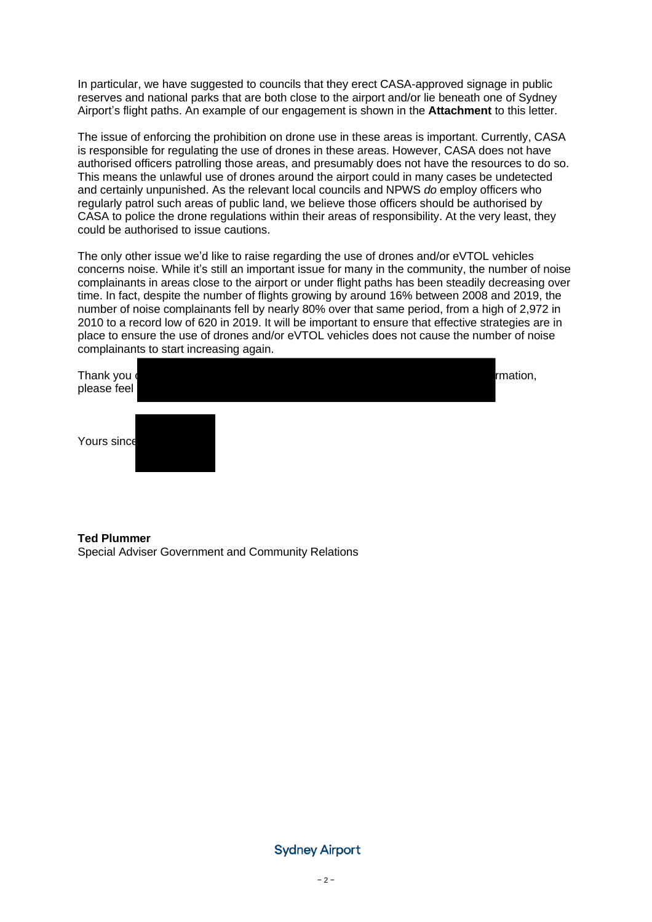In particular, we have suggested to councils that they erect CASA-approved signage in public reserves and national parks that are both close to the airport and/or lie beneath one of Sydney Airport's flight paths. An example of our engagement is shown in the **Attachment** to this letter.

The issue of enforcing the prohibition on drone use in these areas is important. Currently, CASA is responsible for regulating the use of drones in these areas. However, CASA does not have authorised officers patrolling those areas, and presumably does not have the resources to do so. This means the unlawful use of drones around the airport could in many cases be undetected and certainly unpunished. As the relevant local councils and NPWS *do* employ officers who regularly patrol such areas of public land, we believe those officers should be authorised by CASA to police the drone regulations within their areas of responsibility. At the very least, they could be authorised to issue cautions.

The only other issue we'd like to raise regarding the use of drones and/or eVTOL vehicles concerns noise. While it's still an important issue for many in the community, the number of noise complainants in areas close to the airport or under flight paths has been steadily decreasing over time. In fact, despite the number of flights growing by around 16% between 2008 and 2019, the number of noise complainants fell by nearly 80% over that same period, from a high of 2,972 in 2010 to a record low of 620 in 2019. It will be important to ensure that effective strategies are in place to ensure the use of drones and/or eVTOL vehicles does not cause the number of noise complainants to start increasing again.

| Thank you<br>please feel |  |  | rmation, |
|--------------------------|--|--|----------|
| Yours since              |  |  |          |

# **Ted Plummer** Special Adviser Government and Community Relations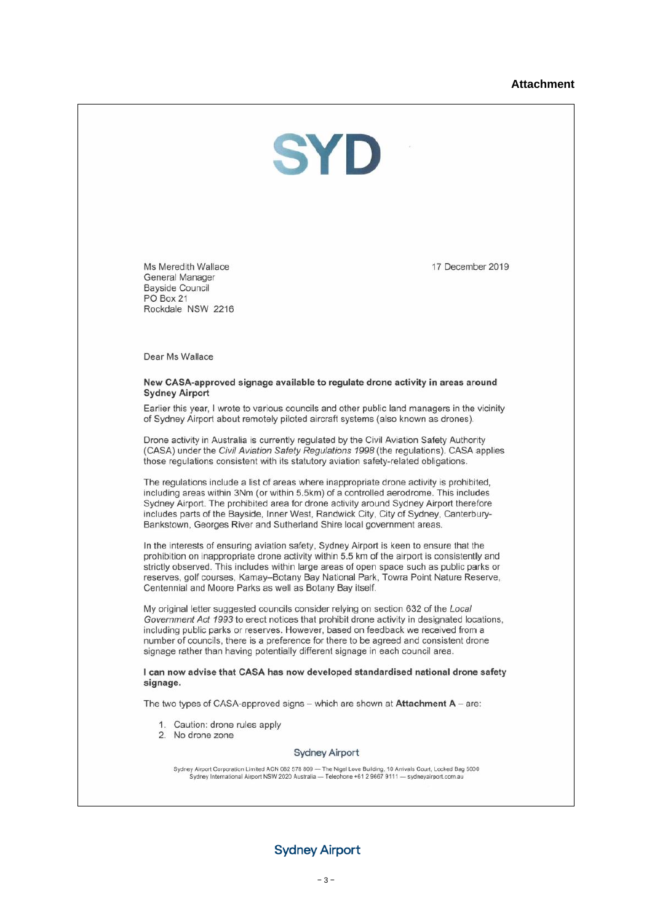### **Attachment**



Ms Meredith Wallace **General Manager** Bayside Council PO Box 21 Rockdale NSW 2216 17 December 2019

Dear Ms Wallace

#### New CASA-approved signage available to regulate drone activity in areas around **Sydney Airport**

Earlier this year, I wrote to various councils and other public land managers in the vicinity of Sydney Airport about remotely piloted aircraft systems (also known as drones).

Drone activity in Australia is currently regulated by the Civil Aviation Safety Authority (CASA) under the Civil Aviation Safety Regulations 1998 (the regulations). CASA applies those regulations consistent with its statutory aviation safety-related obligations.

The regulations include a list of areas where inappropriate drone activity is prohibited, including areas within 3Nm (or within 5.5km) of a controlled aerodrome. This includes Sydney Airport. The prohibited area for drone activity around Sydney Airport therefore includes parts of the Bayside, Inner West, Randwick City, City of Sydney, Canterbury-Bankstown, Georges River and Sutherland Shire local government areas.

In the interests of ensuring aviation safety, Sydney Airport is keen to ensure that the prohibition on inappropriate drone activity within 5.5 km of the airport is consistently and strictly observed. This includes within large areas of open space such as public parks or reserves, golf courses, Kamay-Botany Bay National Park, Towra Point Nature Reserve, Centennial and Moore Parks as well as Botany Bay itself.

My original letter suggested councils consider relying on section 632 of the Local Government Act 1993 to erect notices that prohibit drone activity in designated locations, including public parks or reserves. However, based on feedback we received from a number of councils, there is a preference for there to be agreed and consistent drone signage rather than having potentially different signage in each council area.

#### I can now advise that CASA has now developed standardised national drone safety signage.

The two types of CASA-approved signs – which are shown at **Attachment A** – are:

- 1. Caution: drone rules apply
- 2. No drone zone

#### **Sydney Airport**

Sydney Airport Corporation Limited ACN 082 578 809 -- The Nigel Love Building, 10 Arrivals Court, Locked Bag 5000<br>Sydney International Airport NSW 2020 Australia -- Telephone +61 2 9667 9111 -- sydneyairport.com.au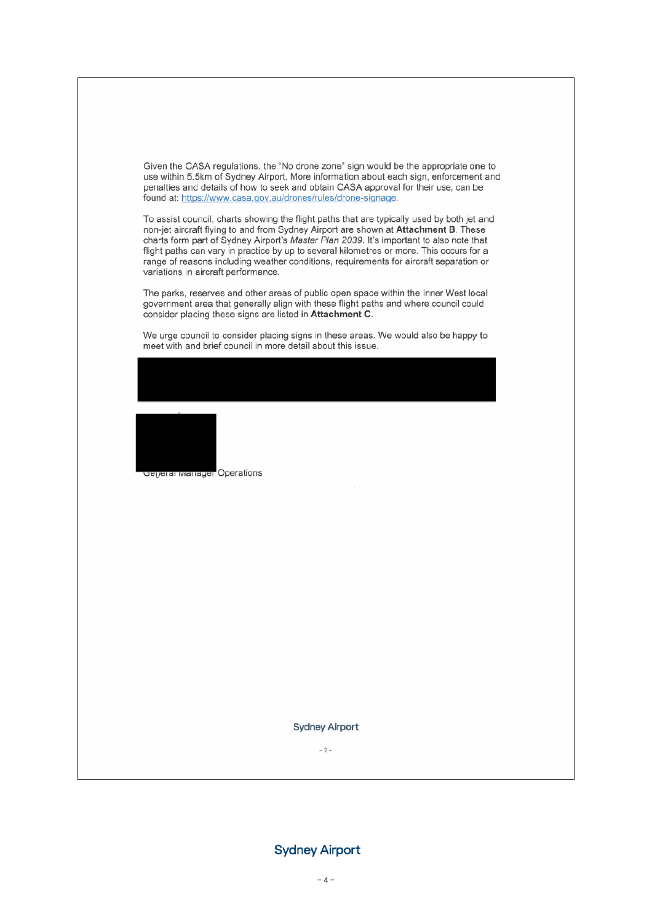Given the CASA regulations, the "No drone zone" sign would be the appropriate one to use within 5.5km of Sydney Airport. More information about each sign, enforcement and penalties and details of how to seek and obtain CASA approval for their use, can be found at: https://www.casa.gov.au/drones/rules/drone-signage.

To assist council, charts showing the flight paths that are typically used by both jet and non-jet aircraft flying to and from Sydney Airport are shown at Attachment B. These charts form part of Sydney Airport's Master Plan 2039. It's important to also note that flight paths can vary in practice by up to several kilometres or more. This occurs for a range of reasons including weather conditions, requirements for aircraft separation or variations in aircraft performance.

The parks, reserves and other areas of public open space within the Inner West local government area that generally align with these flight paths and where council could consider placing these signs are listed in Attachment C.

We urge council to consider placing signs in these areas. We would also be happy to meet with and brief council in more detail about this issue.



**Sydney Airport** 

 $-2-$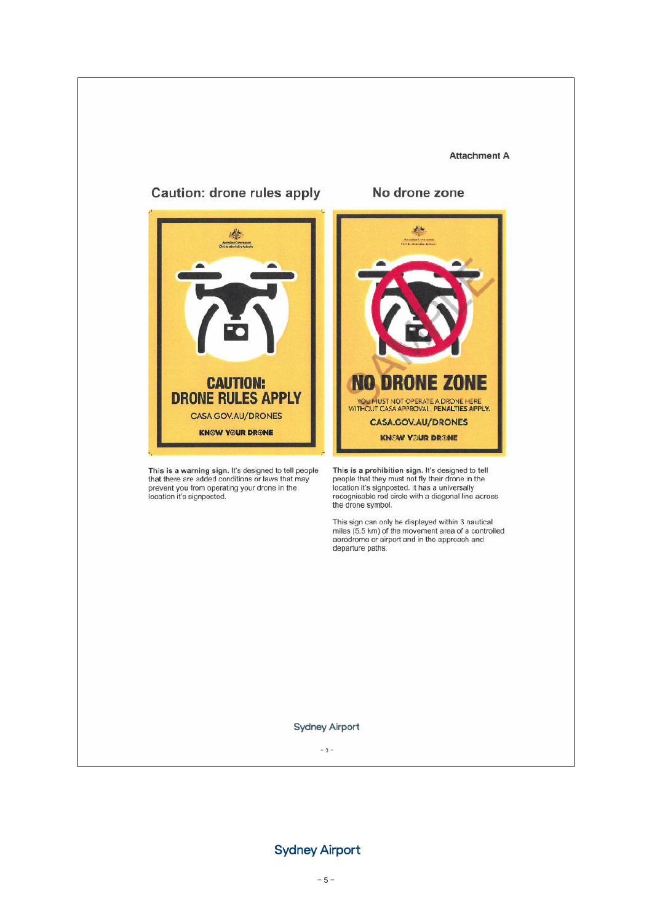#### **Attachment A**



This is a warning sign. It's designed to tell people<br>that there are added conditions or laws that may prevent you from operating your drone in the<br>location it's signposted.

### No drone zone



This is a prohibition sign. It's designed to tell people that they must not fly their drone in the<br>location it's signposted. It has a universally<br>recognisable red circle with a diagonal line across the drone symbol.

This sign can only be displayed within 3 nautical miles (5.5 km) of the movement area of a controlled<br>aerodrome or airport and in the approach and<br>departure paths.

#### **Sydney Airport**

 $-3-$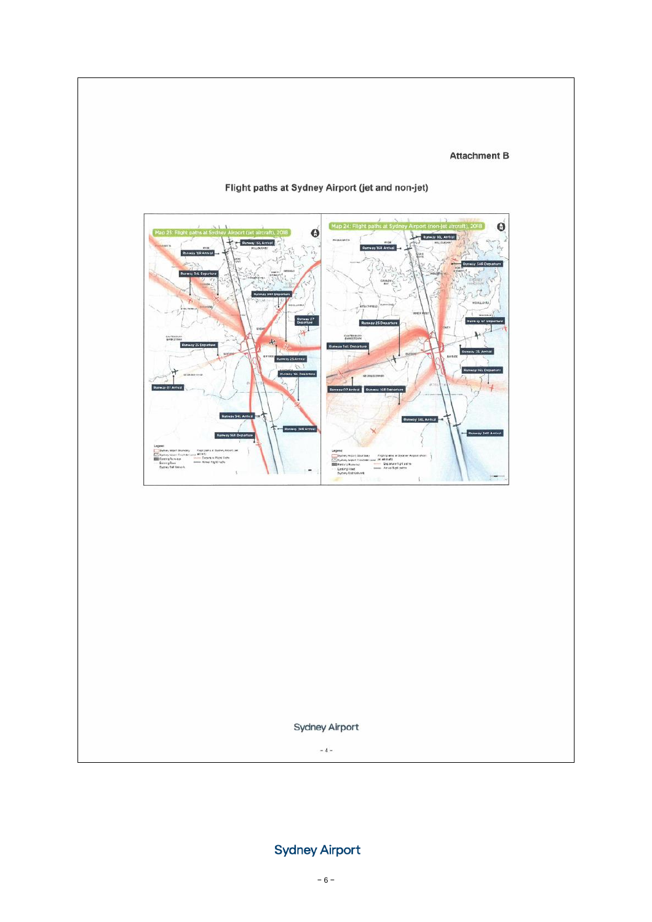## **Attachment B**



# Flight paths at Sydney Airport (jet and non-jet)

Sydney Airport

 $\sim 4$  –